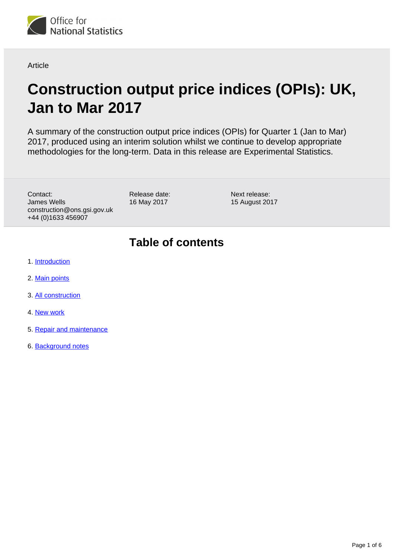

Article

# **Construction output price indices (OPIs): UK, Jan to Mar 2017**

A summary of the construction output price indices (OPIs) for Quarter 1 (Jan to Mar) 2017, produced using an interim solution whilst we continue to develop appropriate methodologies for the long-term. Data in this release are Experimental Statistics.

Contact: James Wells construction@ons.gsi.gov.uk +44 (0)1633 456907

Release date: 16 May 2017

Next release: 15 August 2017

### **Table of contents**

- 1. [Introduction](#page-1-0)
- 2. [Main points](#page-1-1)
- 3. [All construction](#page-2-0)
- 4. [New work](#page-4-0)
- 5. [Repair and maintenance](#page-4-1)
- 6. [Background notes](#page-4-2)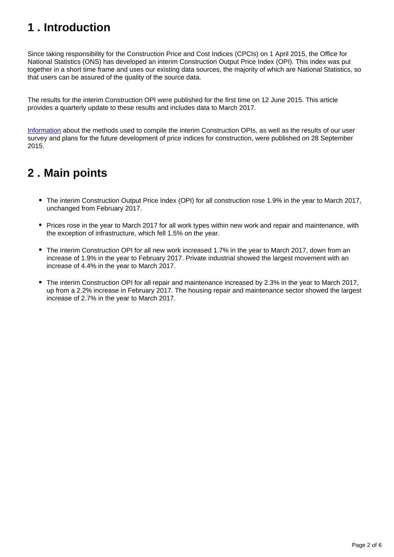## <span id="page-1-0"></span>**1 . Introduction**

Since taking responsibility for the Construction Price and Cost Indices (CPCIs) on 1 April 2015, the Office for National Statistics (ONS) has developed an interim Construction Output Price Index (OPI). This index was put together in a short time frame and uses our existing data sources, the majority of which are National Statistics, so that users can be assured of the quality of the source data.

The results for the interim Construction OPI were published for the first time on 12 June 2015. This article provides a quarterly update to these results and includes data to March 2017.

[Information](http://www.ons.gov.uk/ons/rel/ppi2/construction-output-price-indices--opis-/interim-solution--further-information/index.html) about the methods used to compile the interim Construction OPIs, as well as the results of our user survey and plans for the future development of price indices for construction, were published on 28 September 2015.

### <span id="page-1-1"></span>**2 . Main points**

- The interim Construction Output Price Index (OPI) for all construction rose 1.9% in the year to March 2017, unchanged from February 2017.
- Prices rose in the year to March 2017 for all work types within new work and repair and maintenance, with the exception of infrastructure, which fell 1.5% on the year.
- The interim Construction OPI for all new work increased 1.7% in the year to March 2017, down from an increase of 1.9% in the year to February 2017. Private industrial showed the largest movement with an increase of 4.4% in the year to March 2017.
- The interim Construction OPI for all repair and maintenance increased by 2.3% in the year to March 2017, up from a 2.2% increase in February 2017. The housing repair and maintenance sector showed the largest increase of 2.7% in the year to March 2017.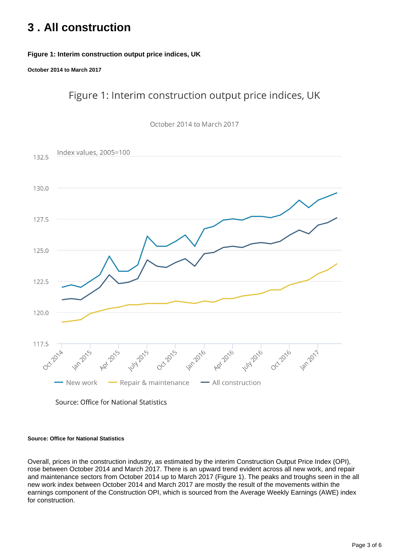### <span id="page-2-0"></span>**3 . All construction**

### **Figure 1: Interim construction output price indices, UK**

**October 2014 to March 2017**

Figure 1: Interim construction output price indices, UK



Source: Office for National Statistics

#### **Source: Office for National Statistics**

Overall, prices in the construction industry, as estimated by the interim Construction Output Price Index (OPI), rose between October 2014 and March 2017. There is an upward trend evident across all new work, and repair and maintenance sectors from October 2014 up to March 2017 (Figure 1). The peaks and troughs seen in the all new work index between October 2014 and March 2017 are mostly the result of the movements within the earnings component of the Construction OPI, which is sourced from the Average Weekly Earnings (AWE) index for construction.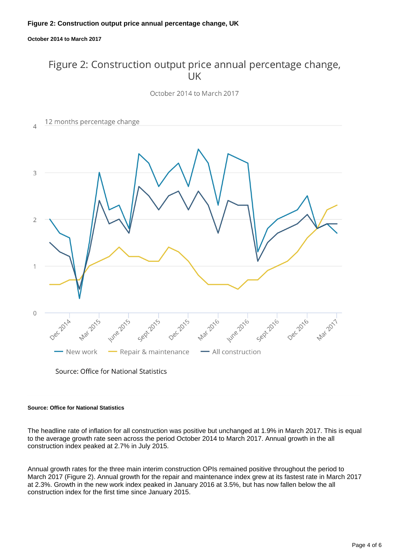#### **Figure 2: Construction output price annual percentage change, UK**

**October 2014 to March 2017**

### Figure 2: Construction output price annual percentage change,  $UK$

October 2014 to March 2017



Source: Office for National Statistics

#### **Source: Office for National Statistics**

The headline rate of inflation for all construction was positive but unchanged at 1.9% in March 2017. This is equal to the average growth rate seen across the period October 2014 to March 2017. Annual growth in the all construction index peaked at 2.7% in July 2015.

Annual growth rates for the three main interim construction OPIs remained positive throughout the period to March 2017 (Figure 2). Annual growth for the repair and maintenance index grew at its fastest rate in March 2017 at 2.3%. Growth in the new work index peaked in January 2016 at 3.5%, but has now fallen below the all construction index for the first time since January 2015.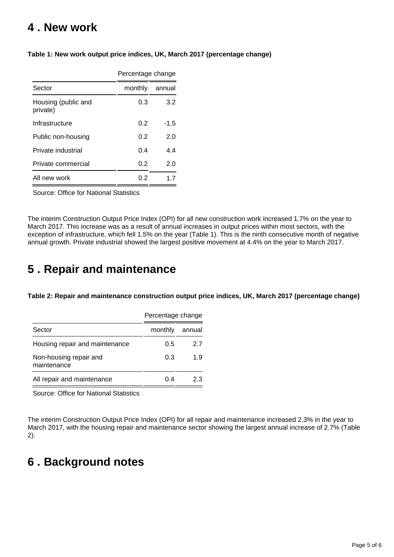### <span id="page-4-0"></span>**4 . New work**

|                                 | Percentage change |        |
|---------------------------------|-------------------|--------|
| Sector                          | monthly           | annual |
| Housing (public and<br>private) | 0.3               | 3.2    |
| Infrastructure                  | 0.2               | -1.5   |
| Public non-housing              | 0.2               | 2.0    |
| Private industrial              | 0.4               | 44     |
| Private commercial              | 0.2               | 2.0    |
| All new work                    | 0.2               | 17     |

#### **Table 1: New work output price indices, UK, March 2017 (percentage change)**

Source: Office for National Statistics

The interim Construction Output Price Index (OPI) for all new construction work increased 1.7% on the year to March 2017. This increase was as a result of annual increases in output prices within most sectors, with the exception of infrastructure, which fell 1.5% on the year (Table 1). This is the ninth consecutive month of negative annual growth. Private industrial showed the largest positive movement at 4.4% on the year to March 2017.

### <span id="page-4-1"></span>**5 . Repair and maintenance**

**Table 2: Repair and maintenance construction output price indices, UK, March 2017 (percentage change)**

|                                       | Percentage change |        |
|---------------------------------------|-------------------|--------|
| Sector                                | monthly           | annual |
| Housing repair and maintenance        | 0.5               | 27     |
| Non-housing repair and<br>maintenance | 0.3               | 19     |
| All repair and maintenance            | በ 4               | 23     |

Source: Office for National Statistics

The interim Construction Output Price Index (OPI) for all repair and maintenance increased 2.3% in the year to March 2017, with the housing repair and maintenance sector showing the largest annual increase of 2.7% (Table 2).

## <span id="page-4-2"></span>**6 . Background notes**